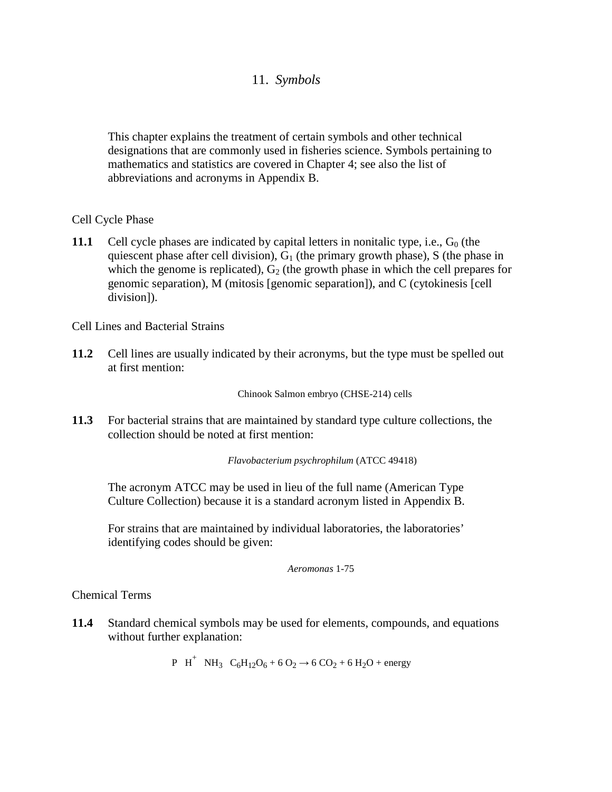# 11. *Symbols*

This chapter explains the treatment of certain symbols and other technical designations that are commonly used in fisheries science. Symbols pertaining to mathematics and statistics are covered in Chapter 4; see also the list of abbreviations and acronyms in Appendix B.

Cell Cycle Phase

**11.1** Cell cycle phases are indicated by capital letters in nonitalic type, i.e.,  $G_0$  (the quiescent phase after cell division),  $G_1$  (the primary growth phase), S (the phase in which the genome is replicated),  $G_2$  (the growth phase in which the cell prepares for genomic separation), M (mitosis [genomic separation]), and C (cytokinesis [cell division]).

Cell Lines and Bacterial Strains

**11.2** Cell lines are usually indicated by their acronyms, but the type must be spelled out at first mention:

Chinook Salmon embryo (CHSE-214) cells

**11.3** For bacterial strains that are maintained by standard type culture collections, the collection should be noted at first mention:

*Flavobacterium psychrophilum* (ATCC 49418)

The acronym ATCC may be used in lieu of the full name (American Type Culture Collection) because it is a standard acronym listed in Appendix B.

For strains that are maintained by individual laboratories, the laboratories' identifying codes should be given:

*Aeromonas* 1-75

Chemical Terms

**11.4** Standard chemical symbols may be used for elements, compounds, and equations without further explanation:

P H<sup>+</sup> NH<sub>3</sub> C<sub>6</sub>H<sub>12</sub>O<sub>6</sub> + 6 O<sub>2</sub>  $\rightarrow$  6 CO<sub>2</sub> + 6 H<sub>2</sub>O + energy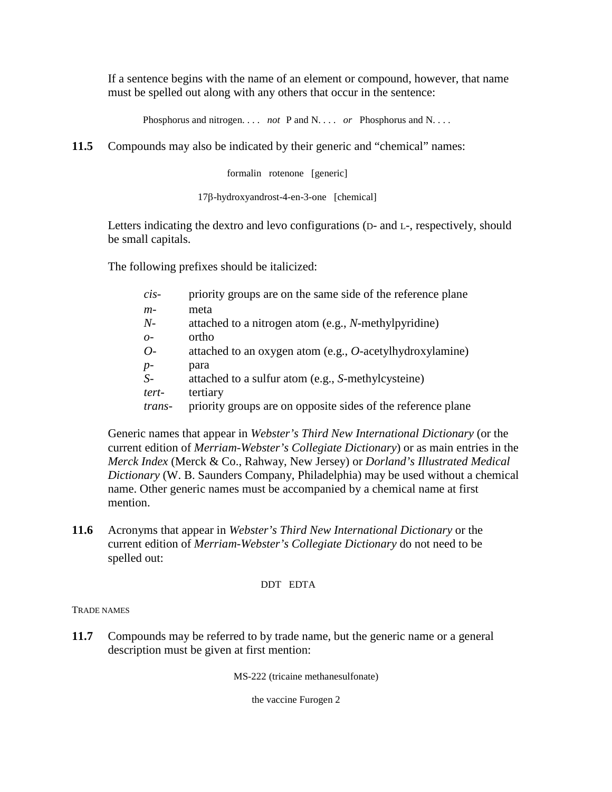If a sentence begins with the name of an element or compound, however, that name must be spelled out along with any others that occur in the sentence:

Phosphorus and nitrogen. . . . *not* P and N. . . . *or* Phosphorus and N. . . .

**11.5** Compounds may also be indicated by their generic and "chemical" names:

formalin rotenone [generic]

17β-hydroxyandrost-4-en-3-one [chemical]

Letters indicating the dextro and levo configurations ( $D$ - and  $L$ -, respectively, should be small capitals.

The following prefixes should be italicized:

| $\dot{cis}$    | priority groups are on the same side of the reference plane  |
|----------------|--------------------------------------------------------------|
| $m-$           | meta                                                         |
| $N-$           | attached to a nitrogen atom (e.g., N-methylpyridine)         |
| O <sub>2</sub> | ortho                                                        |
| $O-$           | attached to an oxygen atom (e.g., $O$ -acetylhydroxylamine)  |
| $p-$           | para                                                         |
| $S-$           | attached to a sulfur atom (e.g., S-methylcysteine)           |
| tert-          | tertiary                                                     |
| trans-         | priority groups are on opposite sides of the reference plane |

Generic names that appear in *Webster's Third New International Dictionary* (or the current edition of *Merriam-Webster's Collegiate Dictionary*) or as main entries in the *Merck Index* (Merck & Co., Rahway, New Jersey) or *Dorland's Illustrated Medical Dictionary* (W. B. Saunders Company, Philadelphia) may be used without a chemical name. Other generic names must be accompanied by a chemical name at first mention.

**11.6** Acronyms that appear in *Webster's Third New International Dictionary* or the current edition of *Merriam-Webster's Collegiate Dictionary* do not need to be spelled out:

### DDT EDTA

TRADE NAMES

**11.7** Compounds may be referred to by trade name, but the generic name or a general description must be given at first mention:

MS-222 (tricaine methanesulfonate)

the vaccine Furogen 2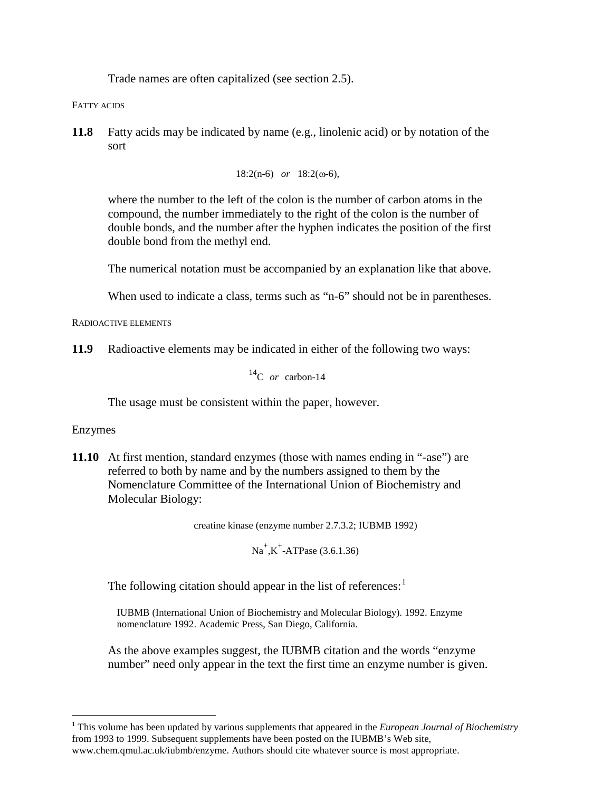Trade names are often capitalized (see section 2.5).

FATTY ACIDS

**11.8** Fatty acids may be indicated by name (e.g., linolenic acid) or by notation of the sort

```
18:2(n-6) or 18:2(ω-6),
```
where the number to the left of the colon is the number of carbon atoms in the compound, the number immediately to the right of the colon is the number of double bonds, and the number after the hyphen indicates the position of the first double bond from the methyl end.

The numerical notation must be accompanied by an explanation like that above.

When used to indicate a class, terms such as "n-6" should not be in parentheses.

RADIOACTIVE ELEMENTS

**11.9** Radioactive elements may be indicated in either of the following two ways:

14C *or* carbon-14

The usage must be consistent within the paper, however.

## Enzymes

**11.10** At first mention, standard enzymes (those with names ending in "-ase") are referred to both by name and by the numbers assigned to them by the Nomenclature Committee of the International Union of Biochemistry and Molecular Biology:

creatine kinase (enzyme number 2.7.3.2; IUBMB 1992)

 $Na^+$ , K<sup>+</sup>-ATPase (3.6.1.36)

The following citation should appear in the list of references: $<sup>1</sup>$  $<sup>1</sup>$  $<sup>1</sup>$ </sup>

IUBMB (International Union of Biochemistry and Molecular Biology). 1992. Enzyme nomenclature 1992. Academic Press, San Diego, California.

As the above examples suggest, the IUBMB citation and the words "enzyme number" need only appear in the text the first time an enzyme number is given.

<span id="page-2-0"></span> <sup>1</sup> This volume has been updated by various supplements that appeared in the *European Journal of Biochemistry* from 1993 to 1999. Subsequent supplements have been posted on the IUBMB's Web site, www.chem.qmul.ac.uk/iubmb/enzyme. Authors should cite whatever source is most appropriate.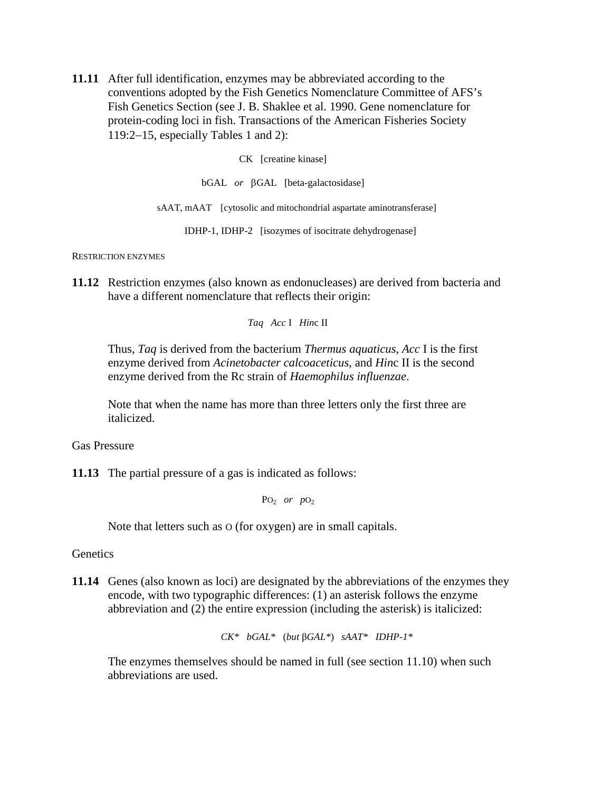**11.11** After full identification, enzymes may be abbreviated according to the conventions adopted by the Fish Genetics Nomenclature Committee of AFS's Fish Genetics Section (see J. B. Shaklee et al. 1990. Gene nomenclature for protein-coding loci in fish. Transactions of the American Fisheries Society 119:2−15, especially Tables 1 and 2):

CK [creatine kinase]

bGAL *or* βGAL [beta-galactosidase]

sAAT, mAAT [cytosolic and mitochondrial aspartate aminotransferase]

IDHP-1, IDHP-2 [isozymes of isocitrate dehydrogenase]

RESTRICTION ENZYMES

**11.12** Restriction enzymes (also known as endonucleases) are derived from bacteria and have a different nomenclature that reflects their origin:

*Taq Acc* I *Hin*c II

Thus, *Taq* is derived from the bacterium *Thermus aquaticus*, *Acc* I is the first enzyme derived from *Acinetobacter calcoaceticus*, and *Hin*c II is the second enzyme derived from the Rc strain of *Haemophilus influenzae*.

Note that when the name has more than three letters only the first three are italicized.

Gas Pressure

**11.13** The partial pressure of a gas is indicated as follows:

PO2 *or p*O2

Note that letters such as O (for oxygen) are in small capitals.

**Genetics** 

**11.14** Genes (also known as loci) are designated by the abbreviations of the enzymes they encode, with two typographic differences: (1) an asterisk follows the enzyme abbreviation and (2) the entire expression (including the asterisk) is italicized:

*CK\* bGAL\** (*but* β*GAL\**) *sAAT\* IDHP-1\**

The enzymes themselves should be named in full (see section 11.10) when such abbreviations are used.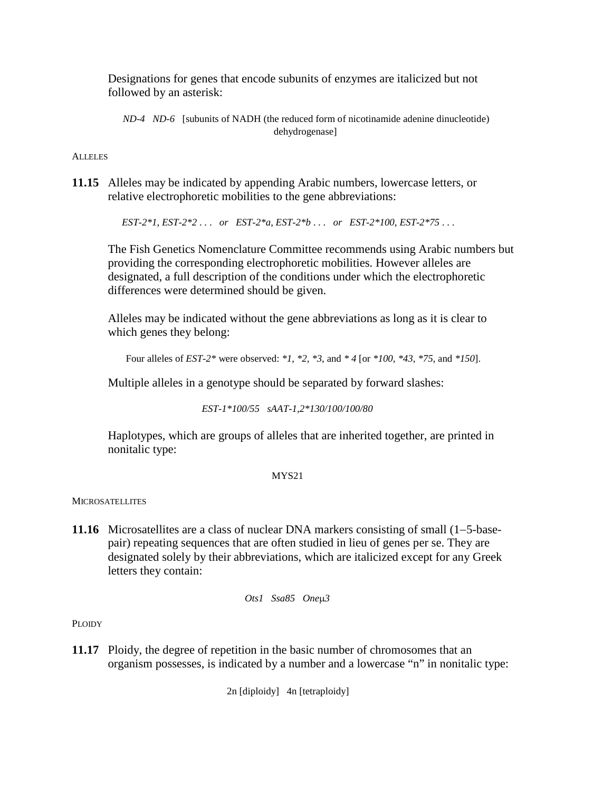Designations for genes that encode subunits of enzymes are italicized but not followed by an asterisk:

*ND-4 ND-6* [subunits of NADH (the reduced form of nicotinamide adenine dinucleotide) dehydrogenase]

### **ALLELES**

**11.15** Alleles may be indicated by appending Arabic numbers, lowercase letters, or relative electrophoretic mobilities to the gene abbreviations:

*EST-2\*1*, *EST-2\*2* . . . *or EST-2\*a*, *EST-2\*b* . . . *or EST-2\*100*, *EST-2\*75* . . .

The Fish Genetics Nomenclature Committee recommends using Arabic numbers but providing the corresponding electrophoretic mobilities. However alleles are designated, a full description of the conditions under which the electrophoretic differences were determined should be given.

Alleles may be indicated without the gene abbreviations as long as it is clear to which genes they belong:

Four alleles of *EST-2\** were observed: *\*1*, *\*2*, *\*3*, and *\* 4* [or *\*100*, *\*43*, *\*75*, and *\*150*].

Multiple alleles in a genotype should be separated by forward slashes:

*EST-1\*100/55 sAAT-1,2\*130/100/100/80*

Haplotypes, which are groups of alleles that are inherited together, are printed in nonitalic type:

#### MYS21

### **MICROSATELLITES**

**11.16** Microsatellites are a class of nuclear DNA markers consisting of small (1−5-basepair) repeating sequences that are often studied in lieu of genes per se. They are designated solely by their abbreviations, which are italicized except for any Greek letters they contain:

*Ots1 Ssa85 One*µ*3*

PLOIDY

**11.17** Ploidy, the degree of repetition in the basic number of chromosomes that an organism possesses, is indicated by a number and a lowercase "n" in nonitalic type:

2n [diploidy] 4n [tetraploidy]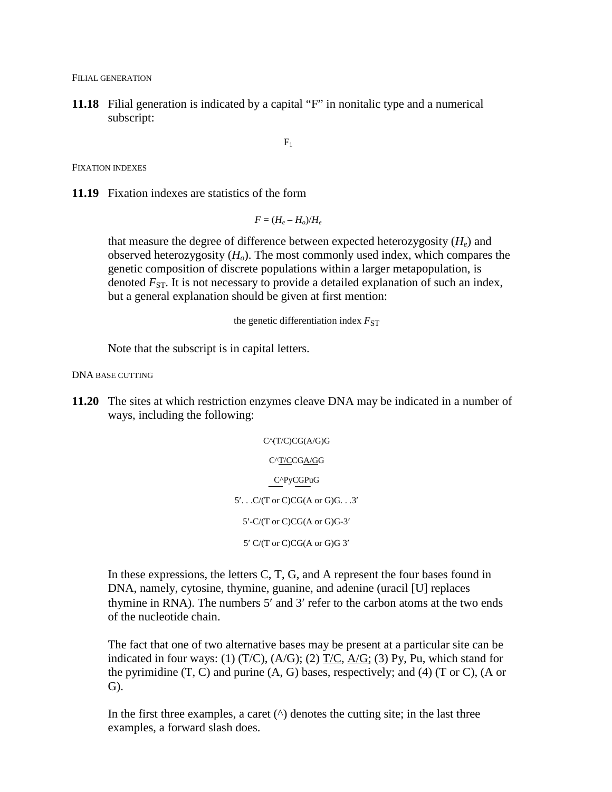FILIAL GENERATION

**11.18** Filial generation is indicated by a capital "F" in nonitalic type and a numerical subscript:

 $F_1$ 

FIXATION INDEXES

**11.19** Fixation indexes are statistics of the form

 $F = (H_e - H_o)/H_e$ 

that measure the degree of difference between expected heterozygosity  $(H_e)$  and observed heterozygosity  $(H<sub>o</sub>)$ . The most commonly used index, which compares the genetic composition of discrete populations within a larger metapopulation, is denoted  $F_{ST}$ . It is not necessary to provide a detailed explanation of such an index, but a general explanation should be given at first mention:

the genetic differentiation index  $F_{ST}$ 

Note that the subscript is in capital letters.

DNA BASE CUTTING

**11.20** The sites at which restriction enzymes cleave DNA may be indicated in a number of ways, including the following:

> C^(T/C)CG(A/G)G C^T/CCGA/GG C^PyCGPuG 5′. . .C/(T or C)CG(A or G)G. . .3′ 5′-C/(T or C)CG(A or G)G-3′ 5′ C/(T or C)CG(A or G)G 3′

In these expressions, the letters C, T, G, and A represent the four bases found in DNA, namely, cytosine, thymine, guanine, and adenine (uracil [U] replaces thymine in RNA). The numbers 5′ and 3′ refer to the carbon atoms at the two ends of the nucleotide chain.

The fact that one of two alternative bases may be present at a particular site can be indicated in four ways: (1)  $(T/C)$ ,  $(A/G)$ ; (2)  $T/C$ ,  $A/G$ ; (3) Py, Pu, which stand for the pyrimidine  $(T, C)$  and purine  $(A, G)$  bases, respectively; and  $(4)$   $(T \text{ or } C)$ ,  $(A \text{ or } C)$ G).

In the first three examples, a caret  $(^{\wedge})$  denotes the cutting site; in the last three examples, a forward slash does.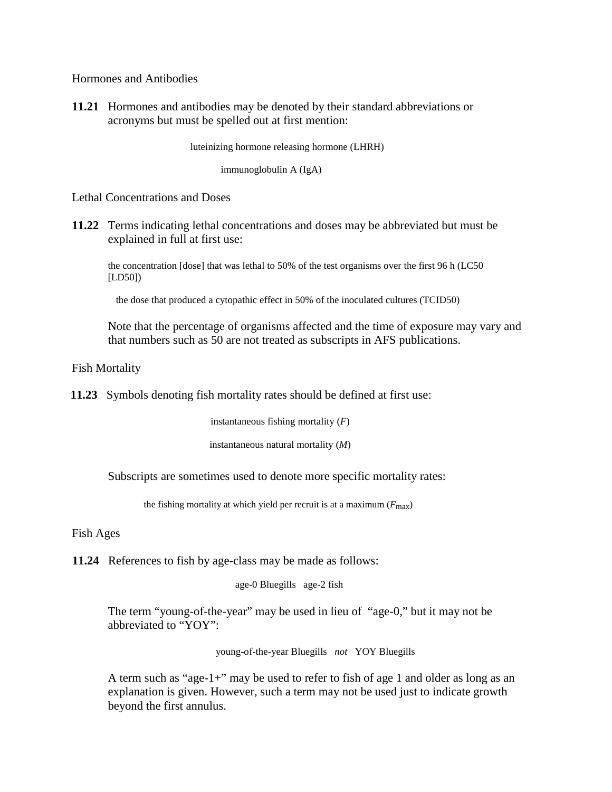Hormones and Antibodies

**11.21** Hormones and antibodies may be denoted by their standard abbreviations or acronyms but must be spelled out at first mention:

luteinizing hormone releasing hormone (LHRH)

immunoglobulin A (IgA)

Lethal Concentrations and Doses

**11.22** Terms indicating lethal concentrations and doses may be abbreviated but must be explained in full at first use:

the concentration [dose] that was lethal to 50% of the test organisms over the first 96 h (LC50 [LD50])

the dose that produced a cytopathic effect in 50% of the inoculated cultures (TCID50)

Note that the percentage of organisms affected and the time of exposure may vary and that numbers such as 50 are not treated as subscripts in AFS publications.

Fish Mortality

**11.23** Symbols denoting fish mortality rates should be defined at first use:

instantaneous fishing mortality (*F*)

instantaneous natural mortality (*M*)

Subscripts are sometimes used to denote more specific mortality rates:

the fishing mortality at which yield per recruit is at a maximum  $(F_{\text{max}})$ 

Fish Ages

**11.24** References to fish by age-class may be made as follows:

age-0 Bluegills age-2 fish

The term "young-of-the-year" may be used in lieu of "age-0," but it may not be abbreviated to "YOY":

young-of-the-year Bluegills *not* YOY Bluegills

A term such as "age-1+" may be used to refer to fish of age 1 and older as long as an explanation is given. However, such a term may not be used just to indicate growth beyond the first annulus.